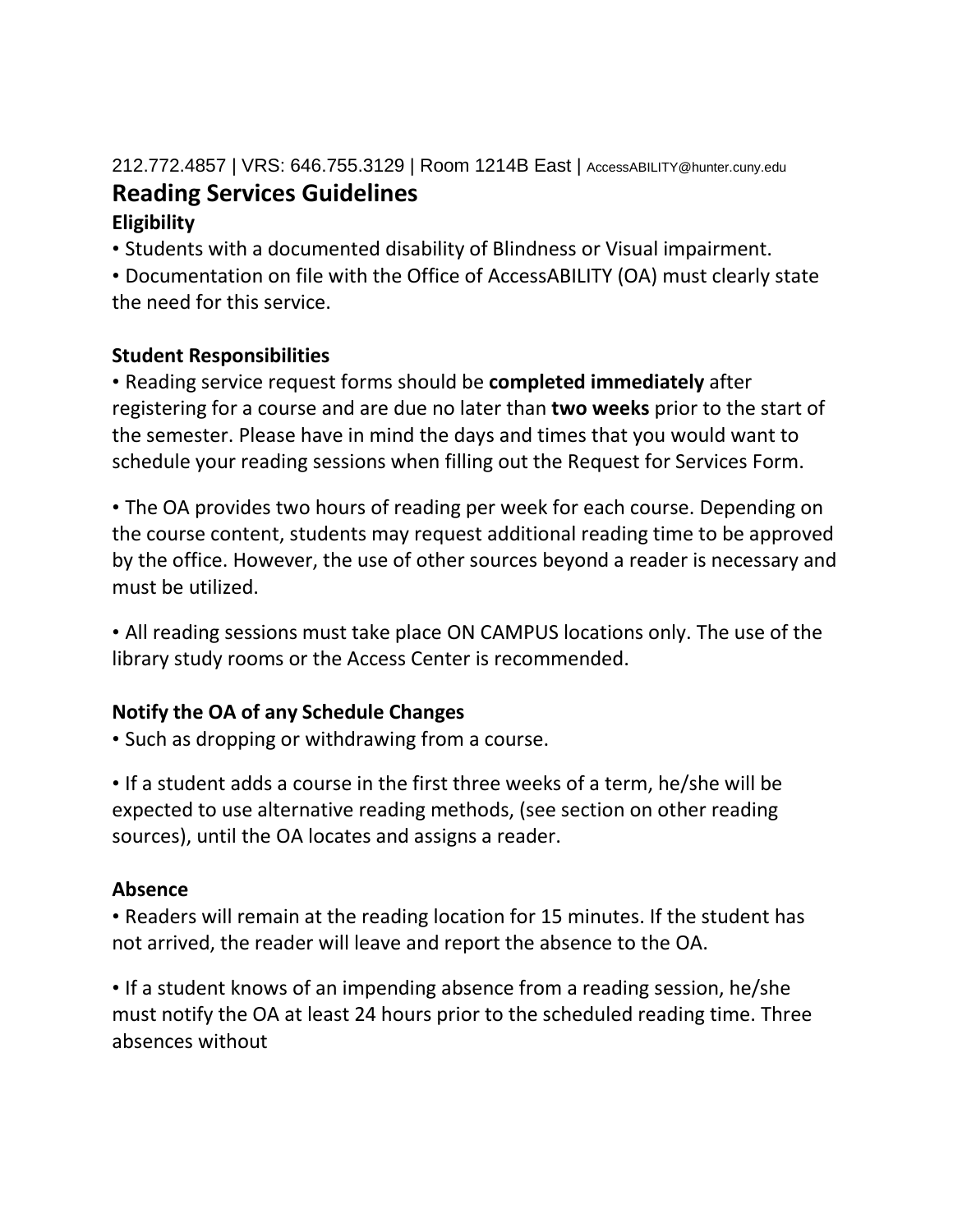# 212.772.4857 | VRS: 646.755.3129 | Room 1214B East | AccessABILITY@hunter.cuny.edu **Reading Services Guidelines**

## **Eligibility**

• Students with a documented disability of Blindness or Visual impairment.

• Documentation on file with the Office of AccessABILITY (OA) must clearly state the need for this service.

## **Student Responsibilities**

• Reading service request forms should be **completed immediately** after registering for a course and are due no later than **two weeks** prior to the start of the semester. Please have in mind the days and times that you would want to schedule your reading sessions when filling out the Request for Services Form.

• The OA provides two hours of reading per week for each course. Depending on the course content, students may request additional reading time to be approved by the office. However, the use of other sources beyond a reader is necessary and must be utilized.

• All reading sessions must take place ON CAMPUS locations only. The use of the library study rooms or the Access Center is recommended.

## **Notify the OA of any Schedule Changes**

• Such as dropping or withdrawing from a course.

• If a student adds a course in the first three weeks of a term, he/she will be expected to use alternative reading methods, (see section on other reading sources), until the OA locates and assigns a reader.

## **Absence**

• Readers will remain at the reading location for 15 minutes. If the student has not arrived, the reader will leave and report the absence to the OA.

• If a student knows of an impending absence from a reading session, he/she must notify the OA at least 24 hours prior to the scheduled reading time. Three absences without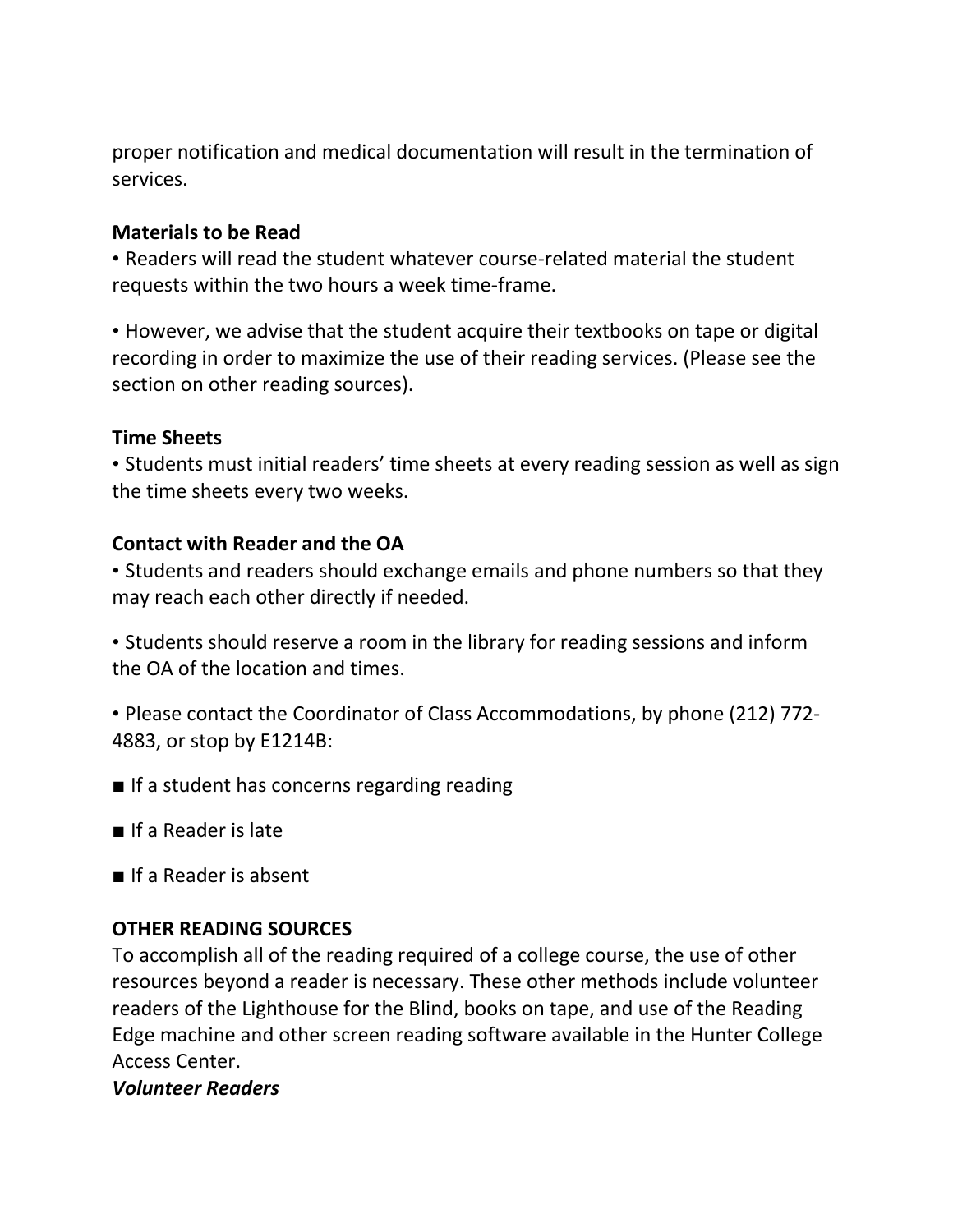proper notification and medical documentation will result in the termination of services.

#### **Materials to be Read**

• Readers will read the student whatever course-related material the student requests within the two hours a week time-frame.

• However, we advise that the student acquire their textbooks on tape or digital recording in order to maximize the use of their reading services. (Please see the section on other reading sources).

### **Time Sheets**

• Students must initial readers' time sheets at every reading session as well as sign the time sheets every two weeks.

### **Contact with Reader and the OA**

• Students and readers should exchange emails and phone numbers so that they may reach each other directly if needed.

• Students should reserve a room in the library for reading sessions and inform the OA of the location and times.

• Please contact the Coordinator of Class Accommodations, by phone (212) 772- 4883, or stop by E1214B:

- If a student has concerns regarding reading
- If a Reader is late
- If a Reader is absent

### **OTHER READING SOURCES**

To accomplish all of the reading required of a college course, the use of other resources beyond a reader is necessary. These other methods include volunteer readers of the Lighthouse for the Blind, books on tape, and use of the Reading Edge machine and other screen reading software available in the Hunter College Access Center.

#### *Volunteer Readers*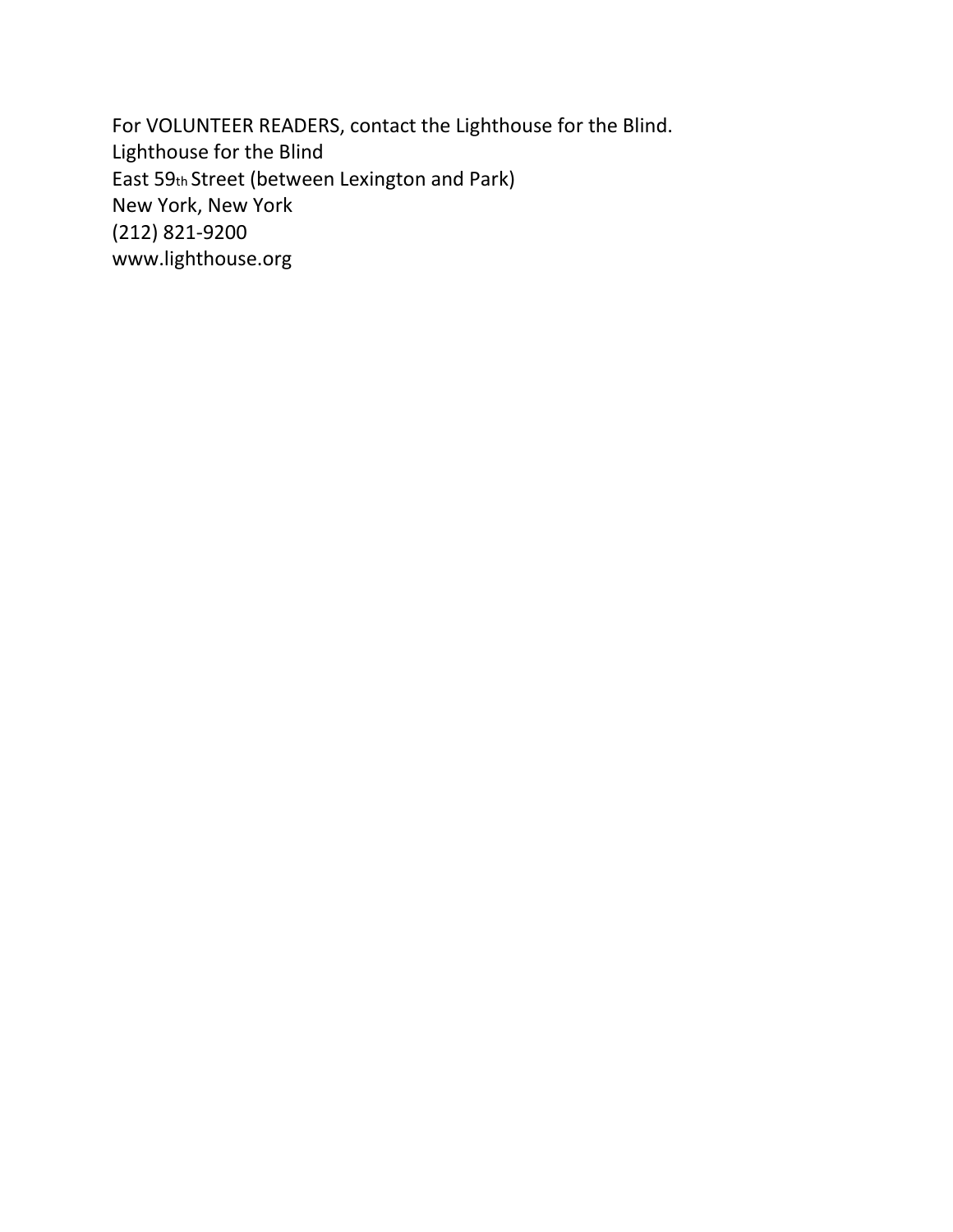For VOLUNTEER READERS, contact the Lighthouse for the Blind. Lighthouse for the Blind East 59th Street (between Lexington and Park) New York, New York (212) 821-9200 www.lighthouse.org